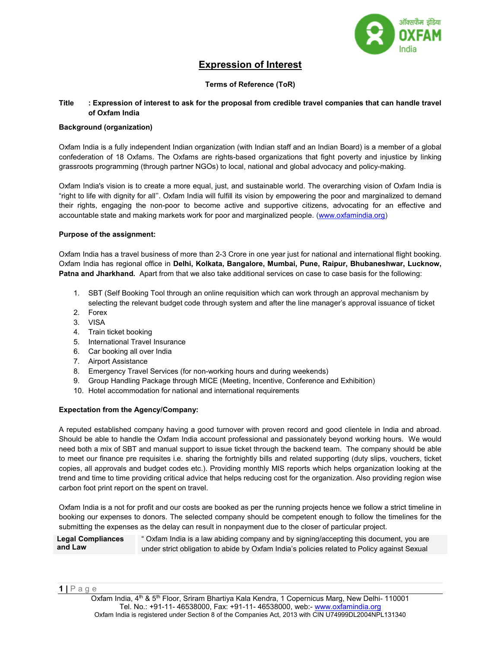

# Expression of Interest

## Terms of Reference (ToR)

#### Title : Expression of interest to ask for the proposal from credible travel companies that can handle travel of Oxfam India

#### Background (organization)

Oxfam India is a fully independent Indian organization (with Indian staff and an Indian Board) is a member of a global confederation of 18 Oxfams. The Oxfams are rights-based organizations that fight poverty and injustice by linking grassroots programming (through partner NGOs) to local, national and global advocacy and policy-making.

Oxfam India's vision is to create a more equal, just, and sustainable world. The overarching vision of Oxfam India is "right to life with dignity for all''. Oxfam India will fulfill its vision by empowering the poor and marginalized to demand their rights, engaging the non-poor to become active and supportive citizens, advocating for an effective and accountable state and making markets work for poor and marginalized people. (www.oxfamindia.org)

#### Purpose of the assignment:

Oxfam India has a travel business of more than 2-3 Crore in one year just for national and international flight booking. Oxfam India has regional office in Delhi, Kolkata, Bangalore, Mumbai, Pune, Raipur, Bhubaneshwar, Lucknow, Patna and Jharkhand. Apart from that we also take additional services on case to case basis for the following:

- 1. SBT (Self Booking Tool through an online requisition which can work through an approval mechanism by selecting the relevant budget code through system and after the line manager's approval issuance of ticket
- 2. Forex
- 3. VISA
- 4. Train ticket booking
- 5. International Travel Insurance
- 6. Car booking all over India
- 7. Airport Assistance
- 8. Emergency Travel Services (for non-working hours and during weekends)
- 9. Group Handling Package through MICE (Meeting, Incentive, Conference and Exhibition)
- 10. Hotel accommodation for national and international requirements

### Expectation from the Agency/Company:

A reputed established company having a good turnover with proven record and good clientele in India and abroad. Should be able to handle the Oxfam India account professional and passionately beyond working hours. We would need both a mix of SBT and manual support to issue ticket through the backend team. The company should be able to meet our finance pre requisites i.e. sharing the fortnightly bills and related supporting (duty slips, vouchers, ticket copies, all approvals and budget codes etc.). Providing monthly MIS reports which helps organization looking at the trend and time to time providing critical advice that helps reducing cost for the organization. Also providing region wise carbon foot print report on the spent on travel.

Oxfam India is a not for profit and our costs are booked as per the running projects hence we follow a strict timeline in booking our expenses to donors. The selected company should be competent enough to follow the timelines for the submitting the expenses as the delay can result in nonpayment due to the closer of particular project.

#### Legal Compliances and Law " Oxfam India is a law abiding company and by signing/accepting this document, you are under strict obligation to abide by Oxfam India's policies related to Policy against Sexual